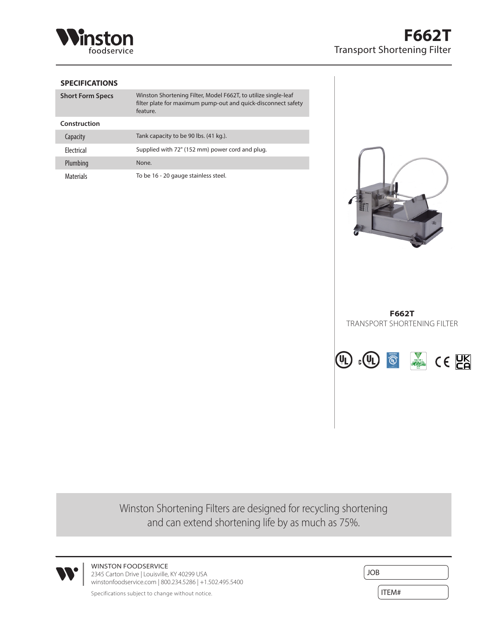

## **SPECIFICATIONS**

| <b>Short Form Specs</b> | Winston Shortening Filter, Model F662T, to utilize single-leaf<br>filter plate for maximum pump-out and quick-disconnect safety<br>feature. |
|-------------------------|---------------------------------------------------------------------------------------------------------------------------------------------|
| Construction            |                                                                                                                                             |
| Capacity                | Tank capacity to be 90 lbs. (41 kg.).                                                                                                       |
| <b>Flectrical</b>       | Supplied with 72" (152 mm) power cord and plug.                                                                                             |
| Plumbing                | None.                                                                                                                                       |
| <b>Materials</b>        | To be 16 - 20 gauge stainless steel.                                                                                                        |



**F662T** TRANSPORT SHORTENING FILTER



Winston Shortening Filters are designed for recycling shortening and can extend shortening life by as much as 75%.



WINSTON FOODSERVICE 2345 Carton Drive | Louisville, KY 40299 USA winstonfoodservice.com | 800.234.5286 | +1.502.495.5400

| the control of the control of the control of the control of the control of the control of the control of the control of the control of the control of the control of the control of the control of the control of the control |  |  |
|-------------------------------------------------------------------------------------------------------------------------------------------------------------------------------------------------------------------------------|--|--|
|                                                                                                                                                                                                                               |  |  |
|                                                                                                                                                                                                                               |  |  |
|                                                                                                                                                                                                                               |  |  |
|                                                                                                                                                                                                                               |  |  |
|                                                                                                                                                                                                                               |  |  |
|                                                                                                                                                                                                                               |  |  |
|                                                                                                                                                                                                                               |  |  |

Specifications subject to change without notice.  $\boxed{\mathsf{ITEM}^{\#}}$ 

JOB